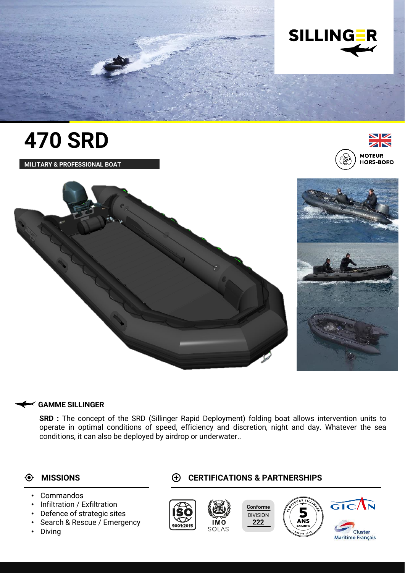

# **470 SRD**

**MILITARY & PROFESSIONAL BOAT**





### **GAMME SILLINGER**

**SRD :** The concept of the SRD (Sillinger Rapid Deployment) folding boat allows intervention units to operate in optimal conditions of speed, efficiency and discretion, night and day. Whatever the sea conditions, it can also be deployed by airdrop or underwater..

## $\bullet$

- **Commandos**
- Infiltration / Exfiltration
- Defence of strategic sites
- Search & Rescue / Emergency
- Diving

## **MISSIONS CERTIFICATIONS & PARTNERSHIPS**



**Maritime Francais**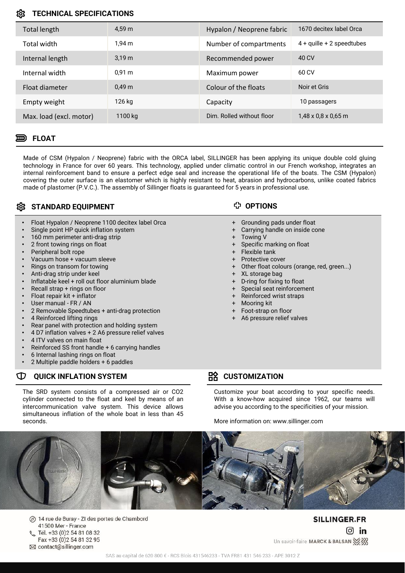### **TECHNICAL SPECIFICATIONS**

| Total length            | 4.59 m           | Hypalon / Neoprene fabric | 1670 decitex label Orca         |
|-------------------------|------------------|---------------------------|---------------------------------|
| Total width             | 1.94 m           | Number of compartments    | $4 +$ quille $+ 2$ speedtubes   |
| Internal length         | 3.19 m           | Recommended power         | 40 CV                           |
| Internal width          | $0,91 \text{ m}$ | Maximum power             | 60 CV                           |
| Float diameter          | 0.49 m           | Colour of the floats      | Noir et Gris                    |
| Empty weight            | 126 kg           | Capacity                  | 10 passagers                    |
| Max. load (excl. motor) | 1100 kg          | Dim. Rolled without floor | $1,48 \times 0.8 \times 0.65$ m |

### **FLOAT**

Made of CSM (Hypalon / Neoprene) fabric with the ORCA label, SILLINGER has been applying its unique double cold gluing technology in France for over 60 years. This technology, applied under climatic control in our French workshop, integrates an internal reinforcement band to ensure a perfect edge seal and increase the operational life of the boats. The CSM (Hypalon) covering the outer surface is an elastomer which is highly resistant to heat, abrasion and hydrocarbons, unlike coated fabrics made of plastomer (P.V.C.). The assembly of Sillinger floats is guaranteed for 5 years in professional use.

## **SCOTT STANDARD EQUIPMENT**

- Float Hypalon / Neoprene 1100 decitex label Orca
- Single point HP quick inflation system
- 160 mm perimeter anti-drag strip
- 2 front towing rings on float
- Peripheral bolt rope
- Vacuum hose + vacuum sleeve
- Rings on transom for towing
- Anti-drag strip under keel
- Inflatable keel + roll out floor aluminium blade
- Recall strap + rings on floor
- Float repair kit + inflator
- User manual FR / AN
- 2 Removable Speedtubes + anti-drag protection
- 4 Reinforced lifting rings
- Rear panel with protection and holding system
- 4 D7 inflation valves + 2 A6 pressure relief valves
- 4 ITV valves on main float
- Reinforced SS front handle + 6 carrying handles
- 6 Internal lashing rings on float
- 2 Multiple paddle holders + 6 paddles

### **QUICK INFLATION SYSTEM CUSTOMIZATION**  $\mathbb D$

The SRD system consists of a compressed air or CO2 cylinder connected to the float and keel by means of an intercommunication valve system. This device allows simultaneous inflation of the whole boat in less than 45 seconds.

## **OPTIONS**

- + Grounding pads under float
- + Carrying handle on inside cone
- + Towing V
- + Specific marking on float
- + Flexible tank
- + Protective cover
- + Other float colours (orange, red, green...)
- + XL storage bag
- + D-ring for fixing to float
- + Special seat reinforcement
- + Reinforced wrist straps
- + Mooring kit
- + Foot-strap on floor
- A6 pressure relief valves

Customize your boat according to your specific needs. With a know-how acquired since 1962, our teams will advise you according to the specificities of your mission.

More information on: www.sillinger.com



7 14 rue de Buray - ZI des portes de Chambord 41500 Mer - France Tél. +33 (0)2 54 81 08 32 Fax +33 (0) 2 54 81 32 95 ⊠ contact@sillinger.com

**SILLINGER.FR**  $\boxed{0}$  in Un savoir-faire MARCK & BALSAN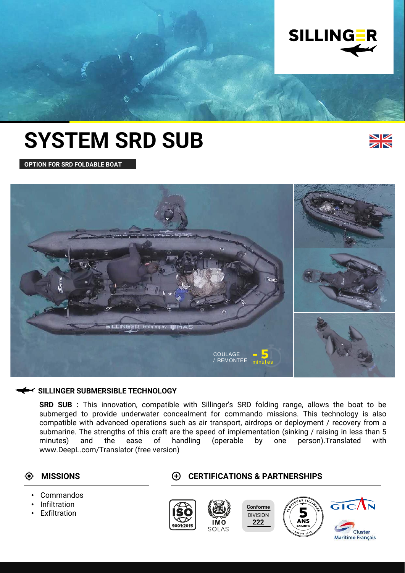

# **SYSTEM SRD SUB**



**OPTION FOR SRD FOLDABLE BOAT**



### **SILLINGER SUBMERSIBLE TECHNOLOGY**

**SRD SUB :** This innovation, compatible with Sillinger's SRD folding range, allows the boat to be submerged to provide underwater concealment for commando missions. This technology is also compatible with advanced operations such as air transport, airdrops or deployment / recovery from a submarine. The strengths of this craft are the speed of implementation (sinking / raising in less than 5 minutes) and the ease of handling (operable by one person).Translated with www.DeepL.com/Translator (free version)

### $\ddot{\bullet}$

- Commandos
- Infiltration
- **Exfiltration**

### **MISSIONS CERTIFICATIONS & PARTNERSHIPS**



**Maritime Francais**